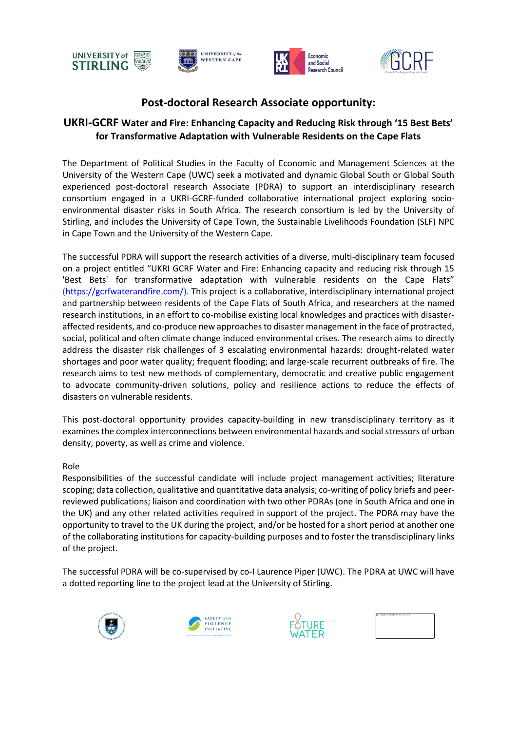





# **Post-doctoral Research Associate opportunity:**

## **UKRI-GCRF Water and Fire: Enhancing Capacity and Reducing Risk through '15 Best Bets' for Transformative Adaptation with Vulnerable Residents on the Cape Flats**

The Department of Political Studies in the Faculty of Economic and Management Sciences at the University of the Western Cape (UWC) seek a motivated and dynamic Global South or Global South experienced post-doctoral research Associate (PDRA) to support an interdisciplinary research consortium engaged in a UKRI-GCRF-funded collaborative international project exploring socioenvironmental disaster risks in South Africa. The research consortium is led by the University of Stirling, and includes the University of Cape Town, the Sustainable Livelihoods Foundation (SLF) NPC in Cape Town and the University of the Western Cape.

The successful PDRA will support the research activities of a diverse, multi-disciplinary team focused on a project entitled "UKRI GCRF Water and Fire: Enhancing capacity and reducing risk through 15 'Best Bets' for transformative adaptation with vulnerable residents on the Cape Flats" [\(https://gcrfwaterandfire.com/\)](https://protect-za.mimecast.com/s/2R7VCLg1oJfjNnPxSBImkD). This project is a collaborative, interdisciplinary international project and partnership between residents of the Cape Flats of South Africa, and researchers at the named research institutions, in an effort to co-mobilise existing local knowledges and practices with disasteraffected residents, and co-produce new approaches to disaster management in the face of protracted, social, political and often climate change induced environmental crises. The research aims to directly address the disaster risk challenges of 3 escalating environmental hazards: drought-related water shortages and poor water quality; frequent flooding; and large-scale recurrent outbreaks of fire. The research aims to test new methods of complementary, democratic and creative public engagement to advocate community-driven solutions, policy and resilience actions to reduce the effects of disasters on vulnerable residents.

This post-doctoral opportunity provides capacity-building in new transdisciplinary territory as it examines the complex interconnections between environmental hazards and social stressors of urban density, poverty, as well as crime and violence.

#### Role

Responsibilities of the successful candidate will include project management activities; literature scoping; data collection, qualitative and quantitative data analysis; co-writing of policy briefs and peerreviewed publications; liaison and coordination with two other PDRAs (one in South Africa and one in the UK) and any other related activities required in support of the project. The PDRA may have the opportunity to travel to the UK during the project, and/or be hosted for a short period at another one of the collaborating institutions for capacity-building purposes and to foster the transdisciplinary links of the project.

The successful PDRA will be co-supervised by co-I Laurence Piper (UWC). The PDRA at UWC will have a dotted reporting line to the project lead at the University of Stirling.